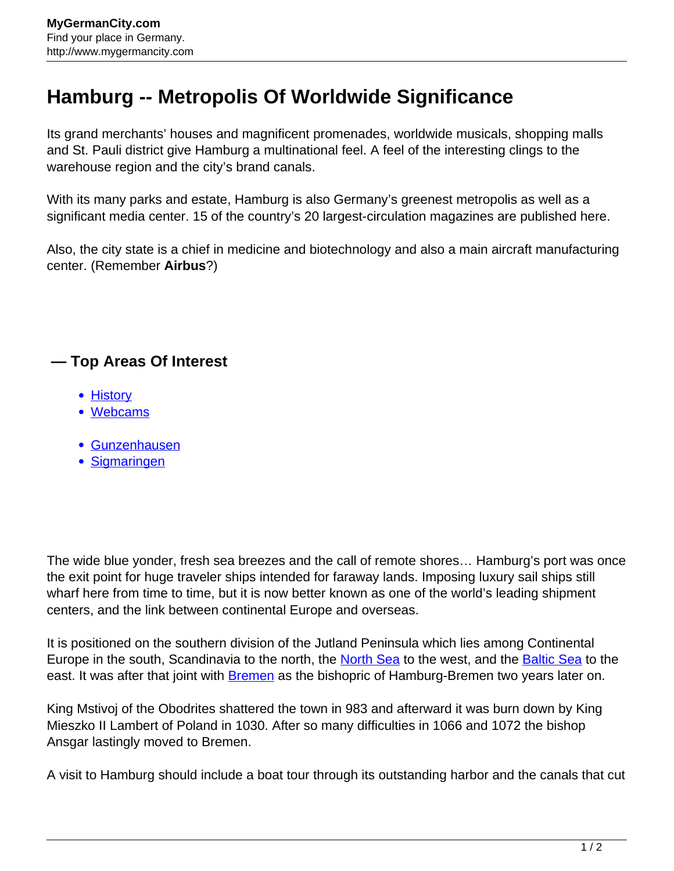## **Hamburg -- Metropolis Of Worldwide Significance**

Its grand merchants' houses and magnificent promenades, worldwide musicals, shopping malls and St. Pauli district give Hamburg a multinational feel. A feel of the interesting clings to the warehouse region and the city's brand canals.

With its many parks and estate, Hamburg is also Germany's greenest metropolis as well as a significant media center. 15 of the country's 20 largest-circulation magazines are published here.

Also, the city state is a chief in medicine and biotechnology and also a main aircraft manufacturing center. (Remember **Airbus**?)

## **— Top Areas Of Interest**

- [History](http://www.mygermancity.com/leipzig-history)
- [Webcams](http://www.mygermancity.com/neustadt-holstein-webcams)
- [Gunzenhausen](http://www.mygermancity.com/gunzenhausen)
- [Sigmaringen](http://www.mygermancity.com/sigmaringen)

The wide blue yonder, fresh sea breezes and the call of remote shores… Hamburg's port was once the exit point for huge traveler ships intended for faraway lands. Imposing luxury sail ships still wharf here from time to time, but it is now better known as one of the world's leading shipment centers, and the link between continental Europe and overseas.

It is positioned on the southern division of the Jutland Peninsula which lies among Continental Europe in the south, Scandinavia to the north, the [North Sea](http://www.mygermancity.com/north-sea) to the west, and the [Baltic Sea](http://www.mygermancity.com/baltic-sea) to the east. It was after that joint with **Bremen** as the bishopric of Hamburg-Bremen two years later on.

King Mstivoj of the Obodrites shattered the town in 983 and afterward it was burn down by King Mieszko II Lambert of Poland in 1030. After so many difficulties in 1066 and 1072 the bishop Ansgar lastingly moved to Bremen.

A visit to Hamburg should include a boat tour through its outstanding harbor and the canals that cut